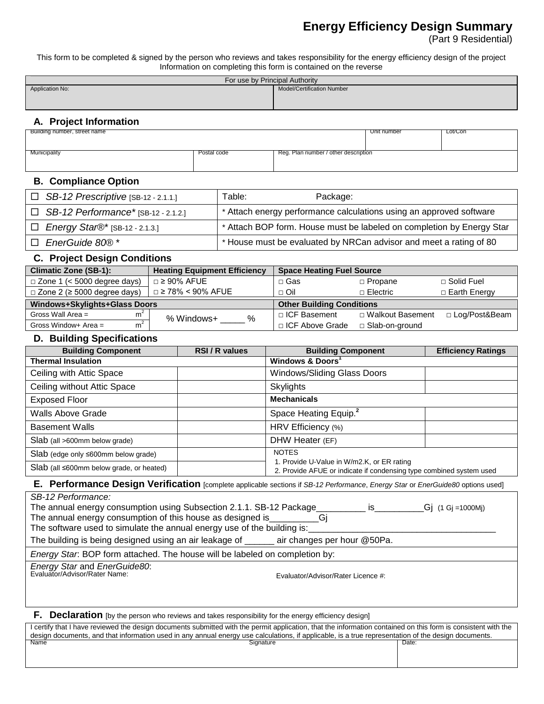# **Energy Efficiency Design Summary**

(Part 9 Residential)

This form to be completed & signed by the person who reviews and takes responsibility for the energy efficiency design of the project Information on completing this form is contained on the reverse

| For use by Principal Authority |                                   |  |  |
|--------------------------------|-----------------------------------|--|--|
| Application No:                | <b>Model/Certification Number</b> |  |  |
|                                |                                   |  |  |
|                                |                                   |  |  |

## **A. Project Information**

| Building number, street name |             |                                      | Unit number | Lot/Con |
|------------------------------|-------------|--------------------------------------|-------------|---------|
|                              |             |                                      |             |         |
|                              |             |                                      |             |         |
| Municipality                 | Postal code | Reg. Plan number / other description |             |         |
|                              |             |                                      |             |         |
|                              |             |                                      |             |         |
|                              |             |                                      |             |         |

### **B. Compliance Option**

|    | $\Box$ SB-12 Prescriptive [SB-12 - 2.1.1.] | Table:<br>Package:                                                    |
|----|--------------------------------------------|-----------------------------------------------------------------------|
|    | $\Box$ SB-12 Performance* [SB-12 - 2.1.2.] | * Attach energy performance calculations using an approved software   |
|    | $\Box$ Energy Star®* [SB-12 - 2.1.3.]      | * Attach BOP form. House must be labeled on completion by Energy Star |
| n. | EnerGuide 80®*                             | * House must be evaluated by NRCan advisor and meet a rating of 80    |

## **C. Project Design Conditions**

| <b>Climatic Zone (SB-1):</b>             | <b>Heating Equipment Efficiency</b> | <b>Space Heating Fuel Source</b> |                    |                     |
|------------------------------------------|-------------------------------------|----------------------------------|--------------------|---------------------|
| $\Box$ Zone 1 (< 5000 degree days)       | $\Box$ 2 90% AFUE                   | □ Gas                            | $\Box$ Propane     | □ Solid Fuel        |
| $\Box$ Zone 2 ( $\geq$ 5000 degree days) | $\Box$ ≥ 78% < 90% AFUE             | $\sqcap$ Oil                     | $\Box$ Electric    | $\Box$ Earth Energy |
| Windows+Skylights+Glass Doors            |                                     | <b>Other Building Conditions</b> |                    |                     |
| Gross Wall Area $=$<br>m <sup>2</sup>    | %<br>% Windows+                     | □ ICF Basement                   | □ Walkout Basement | □ Log/Post&Beam     |
| m <sup>2</sup><br>Gross Window+ Area $=$ |                                     | □ ICF Above Grade                | □ Slab-on-ground   |                     |

## **D. Building Specifications**

| <b>Building Component</b>                         | RSI/R values | <b>Building Component</b>                                                                                                         | <b>Efficiency Ratings</b> |
|---------------------------------------------------|--------------|-----------------------------------------------------------------------------------------------------------------------------------|---------------------------|
| <b>Thermal Insulation</b>                         |              | Windows & Doors <sup>1</sup>                                                                                                      |                           |
| Ceiling with Attic Space                          |              | Windows/Sliding Glass Doors                                                                                                       |                           |
| Ceiling without Attic Space                       |              | <b>Skylights</b>                                                                                                                  |                           |
| <b>Exposed Floor</b>                              |              | <b>Mechanicals</b>                                                                                                                |                           |
| Walls Above Grade                                 |              | Space Heating Equip. <sup>2</sup>                                                                                                 |                           |
| <b>Basement Walls</b>                             |              | HRV Efficiency (%)                                                                                                                |                           |
| Slab (all >600mm below grade)                     |              | DHW Heater (EF)                                                                                                                   |                           |
| Slab (edge only $\leq 600$ mm below grade)        |              | <b>NOTES</b><br>1. Provide U-Value in W/m2.K, or ER rating<br>2. Provide AFUE or indicate if condensing type combined system used |                           |
| $Slab$ (all $\leq 600$ mm below grade, or heated) |              |                                                                                                                                   |                           |

### **E. Performance Design Verification** [complete applicable sections if *SB-12 Performance*, *Energy Star* or *EnerGuide80* options used]

| SB-12 Performance:                                                          |                                    |                    |  |  |
|-----------------------------------------------------------------------------|------------------------------------|--------------------|--|--|
| The annual energy consumption using Subsection 2.1.1. SB-12 Package         | IS.                                | _Gj (1 Gj =1000Mj) |  |  |
| The annual energy consumption of this house as designed is                  |                                    |                    |  |  |
| The software used to simulate the annual energy use of the building is:     |                                    |                    |  |  |
| The building is being designed using an air leakage of _                    | air changes per hour @50Pa.        |                    |  |  |
| Energy Star. BOP form attached. The house will be labeled on completion by: |                                    |                    |  |  |
| Energy Star and EnerGuide80:<br>Evaluator/Advisor/Rater Name:               | Evaluator/Advisor/Rater Licence #: |                    |  |  |

**F. Declaration** [by the person who reviews and takes responsibility for the energy efficiency design]

| I certify that I have reviewed the design documents submitted with the permit application, that the information contained on this form is consistent with the |           |       |  |
|---------------------------------------------------------------------------------------------------------------------------------------------------------------|-----------|-------|--|
| design documents, and that information used in any annual energy use calculations, if applicable, is a true representation of the design documents,           |           |       |  |
| Name                                                                                                                                                          | Sianature | Date: |  |
|                                                                                                                                                               |           |       |  |
|                                                                                                                                                               |           |       |  |